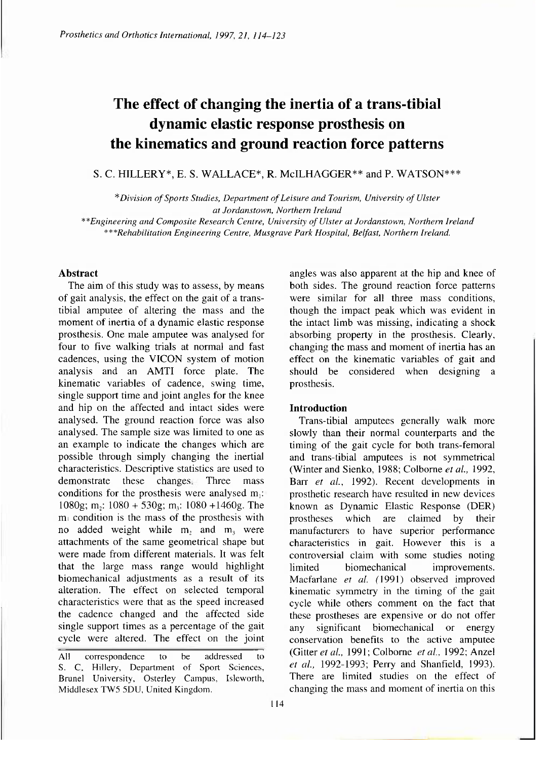# **The effect of changing the inertia of a trans-tibial dynamic elastic response prosthesis on the kinematics and ground reaction force patterns**

# S. C. HILLERY\*, E. S. WALLACE\*, R. McILHAGGER\*\* and P. WATSON\*\*\*

*\*Division of Sports Studies, Department of Leisure and Tourism, University of Ulster at Jordanstown, Northern Ireland* 

*\*\*Engineering and Composite Research Centre, University of Ulster at Jordanstown, Northern Ireland \*\*\*Rehabilitation Engineering Centre, Musgrave Park Hospital, Belfast, Northern Ireland.* 

# **Abstract**

The aim of this study was to assess, by means of gait analysis, the effect on the gait of a transtibial amputee of altering the mass and the moment of inertia of a dynamic elastic response prosthesis. One male amputee was analysed for four to five walking trials at normal and fast cadences, using the VICON system of motion analysis and an AMTI force plate. The kinematic variables of cadence, swing time, single support time and joint angles for the knee and hip on the affected and intact sides were analysed. The ground reaction force was also analysed. The sample size was limited to one as an example to indicate the changes which are possible through simply changing the inertial characteristics. Descriptive statistics are used to demonstrate these changes. Three mass conditions for the prosthesis were analysed  $m_1$ :  $1080g$ ; m<sub>2</sub>:  $1080 + 530g$ ; m<sub>2</sub>:  $1080 + 1460g$ . The m1 condition is the mass of the prosthesis with no added weight while m, and m<sub>3</sub> were attachments of the same geometrical shape but were made from different materials. It was felt that the large mass range would highlight biomechanical adjustments as a result of its alteration. The effect on selected temporal characteristics were that as the speed increased the cadence changed and the affected side single support times as a percentage of the gait cycle were altered. The effect on the joint

All correspondence to be addressed to S. C. Hillery, Department of Sport Sciences, Brunei University, Osterley Campus, Isleworth, Middlesex TW5 5DU, United Kingdom.

angles was also apparent at the hip and knee of both sides. The ground reaction force patterns were similar for all three mass conditions, though the impact peak which was evident in the intact limb was missing, indicating a shock absorbing property in the prosthesis. Clearly, changing the mass and moment of inertia has an effect on the kinematic variables of gait and should be considered when designing a prosthesis.

## **Introduction**

Trans-tibial amputees generally walk more slowly than their normal counterparts and the timing of the gait cycle for both trans-femoral and trans-tibial amputees is not symmetrical (Winter and Sienko, 1988; Colborne *et al.,* 1992, Barr *et al.,* 1992). Recent developments in prosthetic research have resulted in new devices known as Dynamic Elastic Response (DER) prostheses which are claimed by their manufacturers to have superior performance characteristics in gait. However this is a controversial claim with some studies noting limited biomechanical improvements. Macfarlane *et al.* (1991) observed improved kinematic symmetry in the timing of the gait cycle while others comment on the fact that these prostheses are expensive or do not offer any significant biomechanical or energy conservation benefits to the active amputee (Gitter *et al.,* 1991; Colborne *et al.,* 1992; Anzel *et al.,* 1992-1993; Perry and Shanfield, 1993). There are limited studies on the effect of changing the mass and moment of inertia on this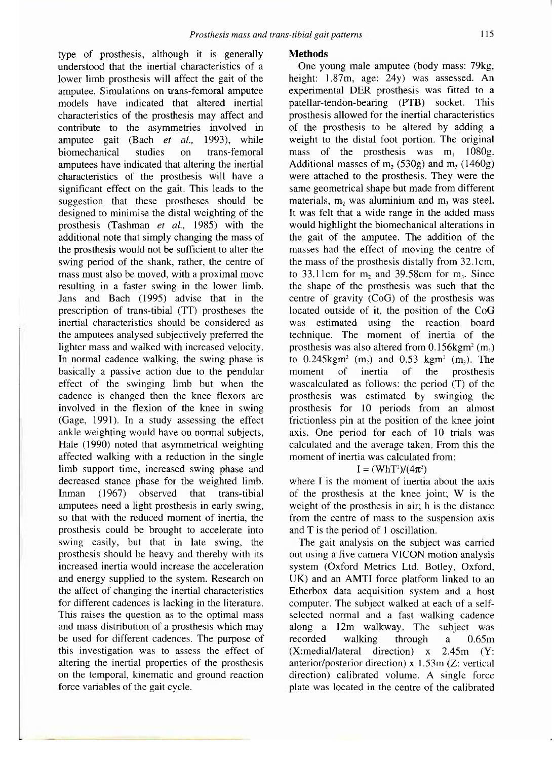type of prosthesis, although it is generally understood that the inertial characteristics of a lower limb prosthesis will affect the gait of the amputee. Simulations on trans-femoral amputee models have indicated that altered inertial characteristics of the prosthesis may affect and contribute to the asymmetries involved in amputee gait (Bach *et al.,* 1993), while biomechanical studies on trans-femoral amputees have indicated that altering the inertial characteristics of the prosthesis will have a significant effect on the gait. This leads to the suggestion that these prostheses should be designed to minimise the distal weighting of the prosthesis (Tashman *et al.,* 1985) with the additional note that simply changing the mass of the prosthesis would not be sufficient to alter the swing period of the shank, rather, the centre of mass must also be moved, with a proximal move resulting in a faster swing in the lower limb. Jans and Bach (1995) advise that in the prescription of trans-tibial (TT) prostheses the inertial characteristics should be considered as the amputees analysed subjectively preferred the lighter mass and walked with increased velocity. In normal cadence walking, the swing phase is basically a passive action due to the pendular effect of the swinging limb but when the cadence is changed then the knee flexors are involved in the flexion of the knee in swing (Gage, 1991). In a study assessing the effect ankle weighting would have on normal subjects, Hale (1990) noted that asymmetrical weighting affected walking with a reduction in the single limb support time, increased swing phase and decreased stance phase for the weighted limb. Inman (1967) observed that trans-tibial amputees need a light prosthesis in early swing, so that with the reduced moment of inertia, the prosthesis could be brought to accelerate into swing easily, but that in late swing, the prosthesis should be heavy and thereby with its increased inertia would increase the acceleration and energy supplied to the system. Research on the affect of changing the inertial characteristics for different cadences is lacking in the literature. This raises the question as to the optimal mass and mass distribution of a prosthesis which may be used for different cadences. The purpose of this investigation was to assess the effect of altering the inertial properties of the prosthesis on the temporal, kinematic and ground reaction force variables of the gait cycle.

# **Methods**

One young male amputee (body mass: 79kg, height: 1.87m, age: 24y) was assessed. An experimental DER prosthesis was fitted to a patellar-tendon-bearing (PTB) socket. This prosthesis allowed for the inertial characteristics of the prosthesis to be altered by adding a weight to the distal foot portion. The original mass of the prosthesis was  $m_1$  1080g. Additional masses of m<sub>2</sub> (530g) and m<sub>3</sub> (1460g) were attached to the prosthesis. They were the same geometrical shape but made from different materials,  $m_2$  was aluminium and  $m_3$  was steel. It was felt that a wide range in the added mass would highlight the biomechanical alterations in the gait of the amputee. The addition of the masses had the effect of moving the centre of the mass of the prosthesis distally from 32.1 cm, to  $33.11$  cm for m<sub>2</sub> and  $39.58$  cm for m<sub>2</sub>. Since the shape of the prosthesis was such that the centre of gravity (CoG) of the prosthesis was located outside of it, the position of the CoG was estimated using the reaction board technique. The moment of inertia of the prosthesis was also altered from  $0.156$ kgm<sup>2</sup> (m.) to 0.245kgm<sup>2</sup> (m<sub>2</sub>) and 0.53 kgm<sup>2</sup> (m<sub>2</sub>). The moment of inertia of the prosthesis wascalculated as follows: the period (T) of the prosthesis was estimated by swinging the prosthesis for 10 periods from an almost frictionless pin at the position of the knee joint axis. One period for each of 10 trials was calculated and the average taken. From this the moment of inertia was calculated from:

# $I = (WhT^2)/(4\pi^2)$

where I is the moment of inertia about the axis of the prosthesis at the knee joint; W is the weight of the prosthesis in air; h is the distance from the centre of mass to the suspension axis and T is the period of 1 oscillation.

The gait analysis on the subject was carried out using a five camera VICON motion analysis system (Oxford Metrics Ltd. Botley, Oxford, UK) and an AMTI force platform linked to an Etherbox data acquisition system and a host computer. The subject walked at each of a selfselected normal and a fast walking cadence along a 12m walkway. The subject was recorded walking through a 0.65m (X:medial/lateral direction) x 2.45m (Y: anterior/posterior direction) x 1.53m (Z: vertical direction) calibrated volume. A single force plate was located in the centre of the calibrated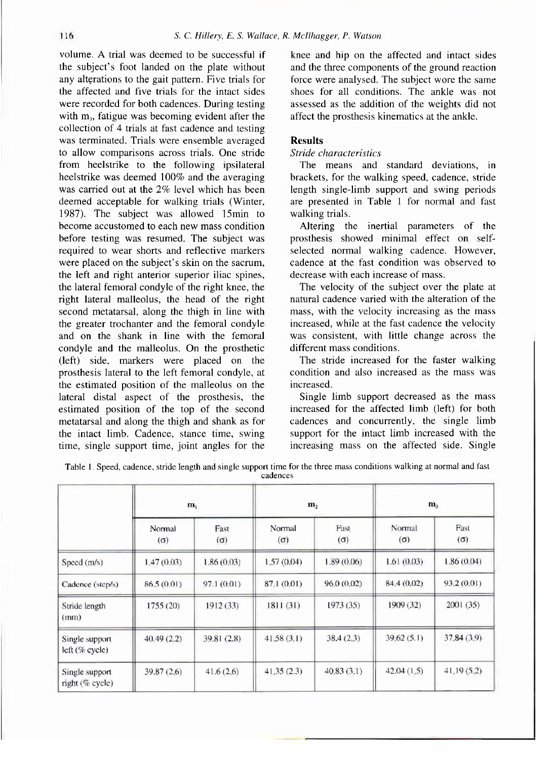volume. A trial was deemed to be successful if the subject's foot landed on the plate without any alterations to the gait pattern. Five trials for the affected and five trials for the intact sides were recorded for both cadences. During testing with  $m<sub>3</sub>$ , fatigue was becoming evident after the collection of 4 trials at fast cadence and testing was terminated. Trials were ensemble averaged to allow comparisons across trials. One stride from heelstrike to the following ipsilateral heelstrike was deemed 100% and the averaging was carried out at the 2% level which has been deemed acceptable for walking trials (Winter, 1987). The subject was allowed 15min to become accustomed to each new mass condition before testing was resumed. The subject was required to wear shorts and reflective markers were placed on the subject's skin on the sacrum, the left and right anterior superior iliac spines, the lateral femoral condyle of the right knee, the right lateral malleolus, the head of the right second metatarsal, along the thigh in line with the greater trochanter and the femoral condyle and on the shank in line with the femoral condyle and the malleolus. On the prosthetic (left) side, markers were placed on the prosthesis lateral to the left femoral condyle, at the estimated position of the malleolus on the lateral distal aspect of the prosthesis, the estimated position of the top of the second metatarsal and along the thigh and shank as for the intact limb. Cadence, stance time, swing time, single support time, joint angles for the

knee and hip on the affected and intact sides and the three components of the ground reaction force were analysed. The subject wore the same shoes for all conditions. The ankle was not assessed as the addition of the weights did not affect the prosthesis kinematics at the ankle.

# **Results**

# *Stride characteristics*

The means and standard deviations, in brackets, for the walking speed, cadence, stride length single-limb support and swing periods are presented in Table 1 for normal and fast walking trials.

Altering the inertial parameters of the prosthesis showed minimal effect on selfselected normal walking cadence. However, cadence at the fast condition was observed to decrease with each increase of mass.

The velocity of the subject over the plate at natural cadence varied with the alteration of the mass, with the velocity increasing as the mass increased, while at the fast cadence the velocity was consistent, with little change across the different mass conditions.

The stride increased for the faster walking condition and also increased as the mass was increased.

Single limb support decreased as the mass increased for the affected limb (left) for both cadences and concurrently, the single limb support for the intact limb increased with the increasing mass on the affected side. Single

Table 1. Speed, cadence, stride length and single support time for the three mass conditions walking at normal and fast cadences

|                                                          | $\mathbf{m}_1$       |                  | m <sub>2</sub>       |                    | $\mathbf{m}_3$     |                    |
|----------------------------------------------------------|----------------------|------------------|----------------------|--------------------|--------------------|--------------------|
|                                                          | Normal<br>$(\sigma)$ | Fast<br>$\alpha$ | Normal<br>$(\sigma)$ | Fast<br>$(\sigma)$ | Normal<br>$\sigma$ | Fast<br>$(\Omega)$ |
| Speed(m/s)                                               | 1.47(0.03)           | 1.86(0.03)       | 1,57(0.04)           | 1.89(0.06)         | 1.61(0.03)         | 1.86(0.04)         |
| Cadence (step/s)                                         | 86.5(0.01)           | 97.1(0.01)       | 87.1 (0.01)          | 96.0(0.02)         | 84.4 (0.02)        | 93.2 (0.01)        |
| Stride length<br>(mm)                                    | 1755(20)             | 1912(33)         | 1811(31)             | 1973(35)           | 1909 (32)          | 2001(35)           |
| Single support<br>$left(% \mathcal{C} \right)$ (% cycle) | 40.49(2.2)           | 39.81 (2.8)      | 41,58(3,1)           | 38.4(2.3)          | 39.62(5.1)         | 37.84(3.9)         |
| Single support<br>right (% cycle)                        | 39.87(2.6)           | 41.6(2.6)        | 41.35(2.3)           | 40.83(3.1)         | 42.04(1.5)         | 41,19(5,2)         |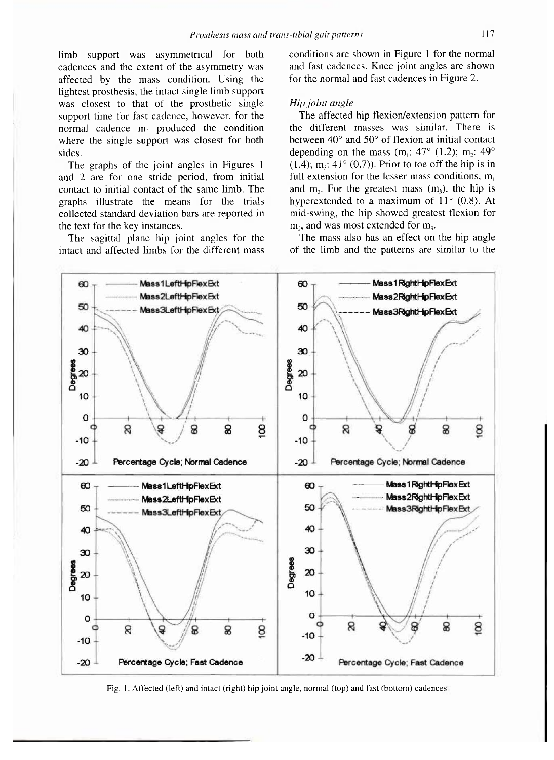limb support was asymmetrical for both cadences and the extent of the asymmetry was affected by the mass condition. Using the lightest prosthesis, the intact single limb support was closest to that of the prosthetic single support time for fast cadence, however, for the normal cadence m<sub>2</sub> produced the condition where the single support was closest for both sides.

The graphs of the joint angles in Figures 1 and 2 are for one stride period, from initial contact to initial contact of the same limb. The graphs illustrate the means for the trials collected standard deviation bars are reported in the text for the key instances.

The sagittal plane hip joint angles for the intact and affected limbs for the different mass

conditions are shown in Figure 1 for the normal and fast cadences. Knee joint angles are shown for the normal and fast cadences in Figure 2.

#### *Hip joint angle*

The affected hip flexion/extension pattern for the different masses was similar. There is between 40° and 50° of flexion at initial contact depending on the mass  $(m_1: 47^\circ (1.2); m_2: 49^\circ)$  $(1.4)$ ; m<sub>3</sub>:  $41^\circ$   $(0.7)$ ). Prior to toe off the hip is in full extension for the lesser mass conditions,  $m<sub>1</sub>$ and m<sub>2</sub>. For the greatest mass  $(m_1)$ , the hip is hyperextended to a maximum of 11° (0.8). At mid-swing, the hip showed greatest flexion for  $m<sub>2</sub>$ , and was most extended for  $m<sub>3</sub>$ .

The mass also has an effect on the hip angle of the limb and the patterns are similar to the



Fig. 1. Affected (left) and intact (right) hip joint angle, normal (top) and fast (bottom) cadences.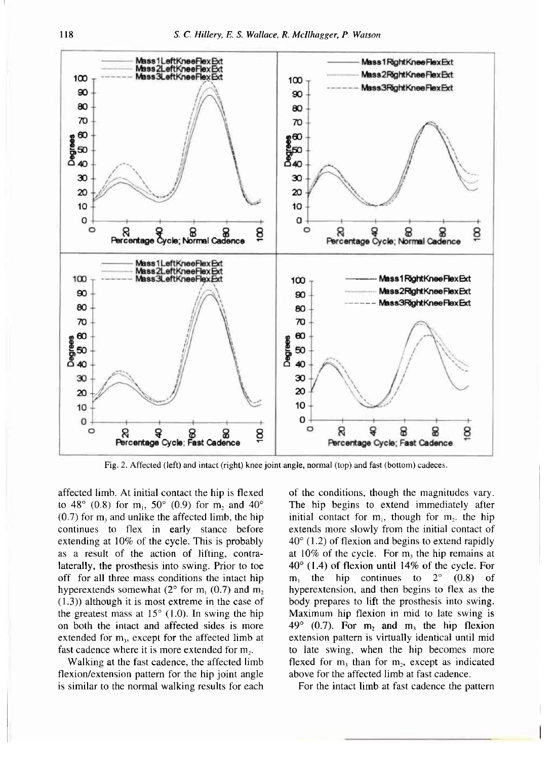

Fig. 2. Affected (left) and intact (right) knee joint angle, normal (top) and fast (bottom) cadeces.

affected limb. At initial contact the hip is flexed to 48° (0.8) for m<sub>1</sub>, 50° (0.9) for m<sub>2</sub> and 40°  $(0.7)$  for  $m<sub>3</sub>$  and unlike the affected limb, the hip continues to flex in early stance before extending at 10% of the cycle. This is probably as a result of the action of lifting, contralaterally, the prosthesis into swing. Prior to toe off for all three mass conditions the intact hip hyperextends somewhat ( $2^{\circ}$  for m<sub>1</sub> (0.7) and m<sub>2</sub> (1.3)) although it is most extreme in the case of the greatest mass at  $15^{\circ}$  (1.0). In swing the hip on both the intact and affected sides is more extended for  $m_3$ , except for the affected limb at fast cadence where it is more extended for  $m<sub>2</sub>$ .

Walking at the fast cadence, the affected limb flexion/extension pattern for the hip joint angle is similar to the normal walking results for each of the conditions, though the magnitudes vary. The hip begins to extend immediately after initial contact for  $m_1$ , though for  $m_2$ , the hip extends more slowly from the initial contact of  $40^{\circ}$  (1.2) of flexion and begins to extend rapidly at  $10\%$  of the cycle. For  $m<sub>3</sub>$  the hip remains at 40° (1.4) of flexion until 14% of the cycle. For  $m_1$  the hip continues to  $2^\circ$  (0.8) of hyperextension, and then begins to flex as the body prepares to lift the prosthesis into swing. Maximum hip flexion in mid to late swing is  $49^{\circ}$  (0.7). For m<sub>2</sub> and m<sub>3</sub> the hip flexion extension pattern is virtually identical until mid to late swing, when the hip becomes more flexed for  $m_3$ , than for  $m_2$ , except as indicated above for the affected limb at fast cadence.

For the intact limb at fast cadence the pattern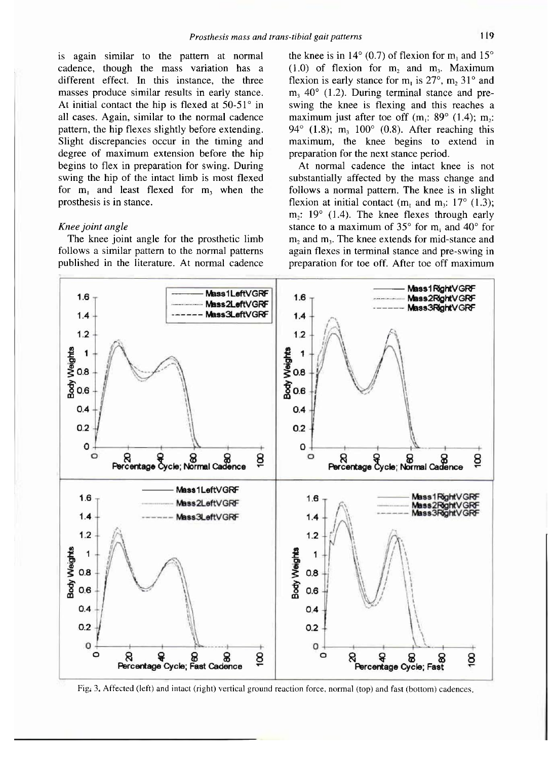is again similar to the pattern at normal cadence, though the mass variation has a different effect. In this instance, the three masses produce similar results in early stance. At initial contact the hip is flexed at 50-51° in all cases. Again, similar to the normal cadence pattern, the hip flexes slightly before extending. Slight discrepancies occur in the timing and degree of maximum extension before the hip begins to flex in preparation for swing. During swing the hip of the intact limb is most flexed for  $m_1$  and least flexed for  $m_3$ , when the prosthesis is in stance.

#### *Knee joint angle*

The knee joint angle for the prosthetic limb follows a similar pattern to the normal patterns published in the literature. At normal cadence the knee is in  $14^{\circ}$  (0.7) of flexion for m<sub>1</sub> and  $15^{\circ}$  $(1.0)$  of flexion for  $m_2$  and  $m_3$ . Maximum flexion is early stance for  $m_1$  is  $27^\circ$ ,  $m_2$  31° and  $m<sub>3</sub>$  40° (1.2). During terminal stance and preswing the knee is flexing and this reaches a maximum just after toe off  $(m_1: 89^{\circ} (1.4); m_2: 2.5)$ 94° (1.8); m<sub>3</sub> 100° (0.8). After reaching this maximum, the knee begins to extend in preparation for the next stance period.

At normal cadence the intact knee is not substantially affected by the mass change and follows a normal pattern. The knee is in slight flexion at initial contact ( $m_1$  and  $m_3$ : 17° (1.3);  $m_2$ : 19 $\degree$  (1.4). The knee flexes through early stance to a maximum of  $35^{\circ}$  for m<sub>i</sub> and  $40^{\circ}$  for  $m_2$  and  $m_3$ . The knee extends for mid-stance and again flexes in terminal stance and pre-swing in preparation for toe off. After toe off maximum



Fig. 3. Affected (left) and intact (right) vertical ground reaction force, normal (top) and fast (bottom) cadences.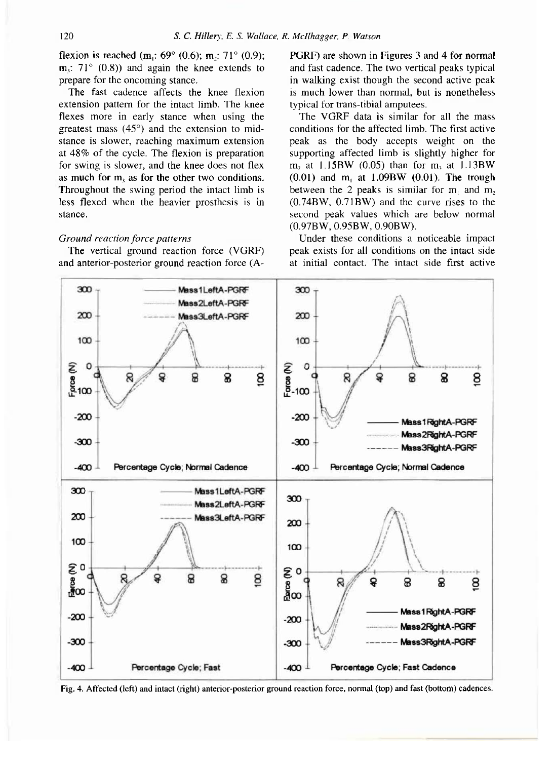flexion is reached (m<sub>1</sub>:  $69^{\circ}$  (0.6); m<sub>2</sub>:  $71^{\circ}$  (0.9);  $m<sub>3</sub>$ : 71° (0.8)) and again the knee extends to prepare for the oncoming stance.

The fast cadence affects the knee flexion extension pattern for the intact limb. The knee flexes more in early stance when using the greatest mass (45°) and the extension to midstance is slower, reaching maximum extension at 48% of the cycle. The flexion is preparation for swing is slower, and the knee does not flex as much for  $m<sub>3</sub>$  as for the other two conditions. Throughout the swing period the intact limb is less flexed when the heavier prosthesis is in stance.

## *Ground reaction force patterns*

The vertical ground reaction force (VGRF) and anterior-posterior ground reaction force (A-

PGRF) are shown in Figures 3 and **4** for normal and fast cadence. The two vertical peaks typical in walking exist though the second active peak is much lower than normal, but is nonetheless typical for trans-tibial amputees.

The VGRF data is similar for all the mass conditions for the affected limb. The first active peak as the body accepts weight on the supporting affected limb is slightly higher for  $m_2$  at 1.15BW (0.05) than for  $m_3$  at 1.13BW  $(0.01)$  and m<sub>1</sub> at 1.09BW  $(0.01)$ . The trough between the 2 peaks is similar for  $m_1$  and m, (0.74BW, 0.71BW) and the curve rises to the second peak values which are below normal (0.97BW, 0.95BW, 0.90BW).

Under these conditions a noticeable impact peak exists for all conditions on the intact side at initial contact. The intact side first active



Fig. 4. Affected (left) and intact (right) anterior-posterior ground reaction force, normal (top) and fast (bottom) cadences.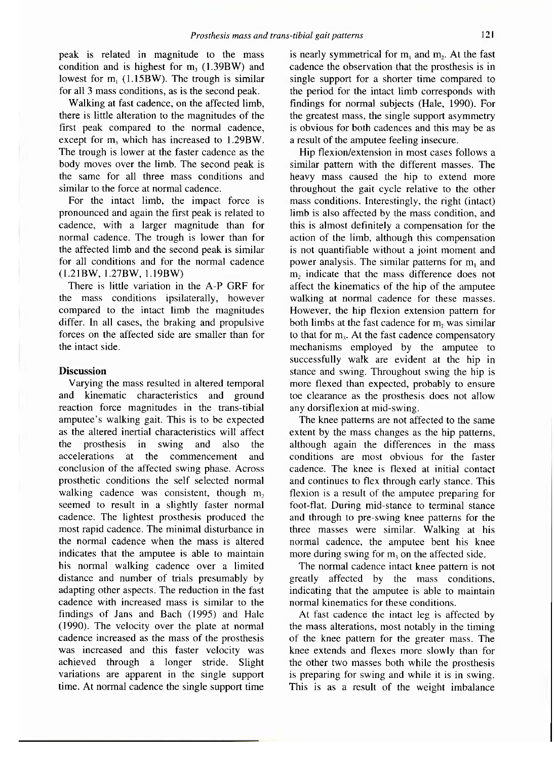peak is related in magnitude to the mass condition and is highest for  $m<sub>3</sub>$  (1.39BW) and lowest for  $m<sub>1</sub>$  (1.15BW). The trough is similar for all 3 mass conditions, as is the second peak.

Walking at fast cadence, on the affected limb, there is little alteration to the magnitudes of the first peak compared to the normal cadence, except for m<sub>3</sub> which has increased to 1.29BW. The trough is lower at the faster cadence as the body moves over the limb. The second peak is the same for all three mass conditions and similar to the force at normal cadence.

For the intact limb, the impact force is pronounced and again the first peak is related to cadence, with a larger magnitude than for normal cadence. The trough is lower than for the affected limb and the second peak is similar for all conditions and for the normal cadence (1.21BW, 1.27BW, 1.19BW)

There is little variation in the A-P GRF for the mass conditions ipsilaterally, however compared to the intact limb the magnitudes differ. In all cases, the braking and propulsive forces on the affected side are smaller than for the intact side.

#### **Discussion**

Varying the mass resulted in altered temporal and kinematic characteristics and ground reaction force magnitudes in the trans-tibial amputee's walking gait. This is to be expected as the altered inertial characteristics will affect the prosthesis in swing and also the accelerations at the commencement and conclusion of the affected swing phase. Across prosthetic conditions the self selected normal walking cadence was consistent, though  $m<sub>2</sub>$ seemed to result in a slightly faster normal cadence. The lightest prosthesis produced the most rapid cadence. The minimal disturbance in the normal cadence when the mass is altered indicates that the amputee is able to maintain his normal walking cadence over a limited distance and number of trials presumably by adapting other aspects. The reduction in the fast cadence with increased mass is similar to the findings of Jans and Bach (1995) and Hale (1990). The velocity over the plate at normal cadence increased as the mass of the prosthesis was increased and this faster velocity was achieved through a longer stride. Slight variations are apparent in the single support time. At normal cadence the single support time

is nearly symmetrical for  $m_1$  and  $m_2$ . At the fast cadence the observation that the prosthesis is in single support for a shorter time compared to the period for the intact limb corresponds with findings for normal subjects (Hale, 1990). For the greatest mass, the single support asymmetry is obvious for both cadences and this may be as a result of the amputee feeling insecure.

Hip flexion/extension in most cases follows a similar pattern with the different masses. The heavy mass caused the hip to extend more throughout the gait cycle relative to the other mass conditions. Interestingly, the right (intact) limb is also affected by the mass condition, and this is almost definitely a compensation for the action of the limb, although this compensation is not quantifiable without a joint moment and power analysis. The similar patterns for  $m<sub>1</sub>$  and  $m<sub>2</sub>$  indicate that the mass difference does not affect the kinematics of the hip of the amputee walking at normal cadence for these masses. However, the hip flexion extension pattern for both limbs at the fast cadence for  $m_2$  was similar to that for  $m<sub>3</sub>$ . At the fast cadence compensatory mechanisms employed by the amputee to successfully walk are evident at the hip in stance and swing. Throughout swing the hip is more flexed than expected, probably to ensure toe clearance as the prosthesis does not allow any dorsiflexion at mid-swing.

The knee patterns are not affected to the same extent by the mass changes as the hip patterns, although again the differences in the mass conditions are most obvious for the faster cadence. The knee is flexed at initial contact and continues to flex through early stance. This flexion is a result of the amputee preparing for foot-flat. During mid-stance to terminal stance and through to pre-swing knee patterns for the three masses were similar. Walking at his normal cadence, the amputee bent his knee more during swing for m, on the affected side.

The normal cadence intact knee pattern is not greatly affected by the mass conditions, indicating that the amputee is able to maintain normal kinematics for these conditions.

At fast cadence the intact leg is affected by the mass alterations, most notably in the timing of the knee pattern for the greater mass. The knee extends and flexes more slowly than for the other two masses both while the prosthesis is preparing for swing and while it is in swing. This is as a result of the weight imbalance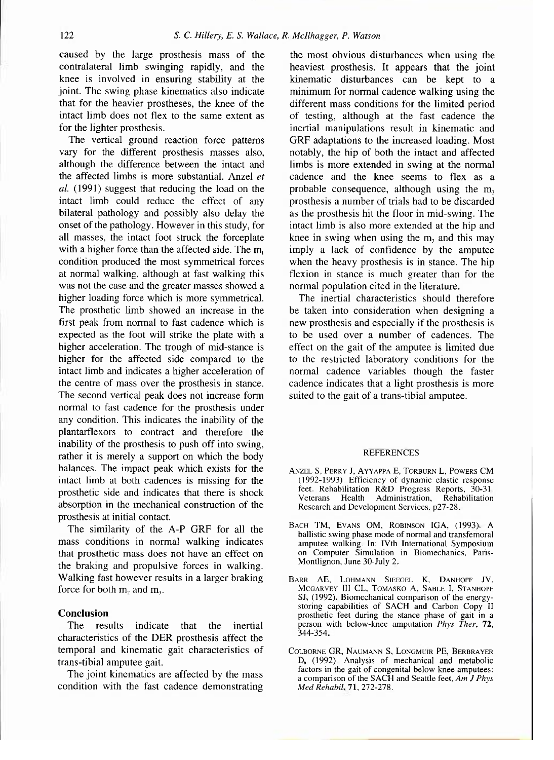caused by the large prosthesis mass of the contralateral limb swinging rapidly, and the knee is involved in ensuring stability at the joint. The swing phase kinematics also indicate that for the heavier prostheses, the knee of the intact limb does not flex to the same extent as for the lighter prosthesis.

The vertical ground reaction force patterns vary for the different prosthesis masses also, although the difference between the intact and the affected limbs is more substantial. Anzel *et al.* (1991) suggest that reducing the load on the intact limb could reduce the effect of any bilateral pathology and possibly also delay the onset of the pathology. However in this study, for all masses, the intact foot struck the forceplate with a higher force than the affected side. The  $m_1$ condition produced the most symmetrical forces at normal walking, although at fast walking this was not the case and the greater masses showed a higher loading force which is more symmetrical. The prosthetic limb showed an increase in the first peak from normal to fast cadence which is expected as the foot will strike the plate with a higher acceleration. The trough of mid-stance is higher for the affected side compared to the intact limb and indicates a higher acceleration of the centre of mass over the prosthesis in stance. The second vertical peak does not increase form normal to fast cadence for the prosthesis under any condition. This indicates the inability of the plantarflexors to contract and therefore the inability of the prosthesis to push off into swing, rather it is merely a support on which the body balances. The impact peak which exists for the intact limb at both cadences is missing for the prosthetic side and indicates that there is shock absorption in the mechanical construction of the prosthesis at initial contact.

The similarity of the A-P GRF for all the mass conditions in normal walking indicates that prosthetic mass does not have an effect on the braking and propulsive forces in walking. Walking fast however results in a larger braking force for both  $m_2$  and  $m_3$ .

# **Conclusion**

The results indicate that the inertial characteristics of the DER prosthesis affect the temporal and kinematic gait characteristics of trans-tibial amputee gait.

The joint kinematics are affected by the mass condition with the fast cadence demonstrating

the most obvious disturbances when using the heaviest prosthesis. It appears that the joint kinematic disturbances can be kept to a minimum for normal cadence walking using the different mass conditions for the limited period of testing, although at the fast cadence the inertial manipulations result in kinematic and GRF adaptations to the increased loading. Most notably, the hip of both the intact and affected limbs is more extended in swing at the normal cadence and the knee seems to flex as a probable consequence, although using the  $m_3$ prosthesis a number of trials had to be discarded as the prosthesis hit the floor in mid-swing. The intact limb is also more extended at the hip and knee in swing when using the  $m<sub>3</sub>$  and this may imply a lack of confidence by the amputee when the heavy prosthesis is in stance. The hip flexion in stance is much greater than for the normal population cited in the literature.

The inertial characteristics should therefore be taken into consideration when designing a new prosthesis and especially if the prosthesis is to be used over a number of cadences. The effect on the gait of the amputee is limited due to the restricted laboratory conditions for the normal cadence variables though the faster cadence indicates that a light prosthesis is more suited to the gait of a trans-tibial amputee.

#### **REFERENCES**

- ANZEL S, PERRY J, AYYAPPA E, TORBURN L, POWERS CM (1992-1993). Efficiency of dynamic elastic response feet. Rehabilitation R&D Progress Reports, 30-31. Veterans Health Administration, Rehabilitation Research and Development Services, p27-28.
- BACH TM, EVANS OM, ROBINSON IGA, (1993). A ballistic swing phase mode of normal and transfemoral amputee walking. In: IVth International Symposium on Computer Simulation in Biomechanics, Paris-Montlignon, June 30-July 2.
- BARR AE, LOHMANN SIEEGEL K, DaNHOFF JV, Mcgarvey III CL, TOMASKO A, SABLE I, STANHOPE SJ, (1992). Biomechanical comparison of the energystoring capabilities of SACH and Carbon Copy II prosthetic feet during the stance phase of gait in a person with below-knee amputation Phys Ther, 72, 344-354.
- COLBORNE GR, NAUMANN S, LONGMUIR PE, BERBRAYER D. (1992). Analysis of mechanical and metabolic factors in the gait of congenital below knee amputees: a comparison of the SACH and Seattle feet. *Am J Phys Med Rehabil* 71 , 272-278.,